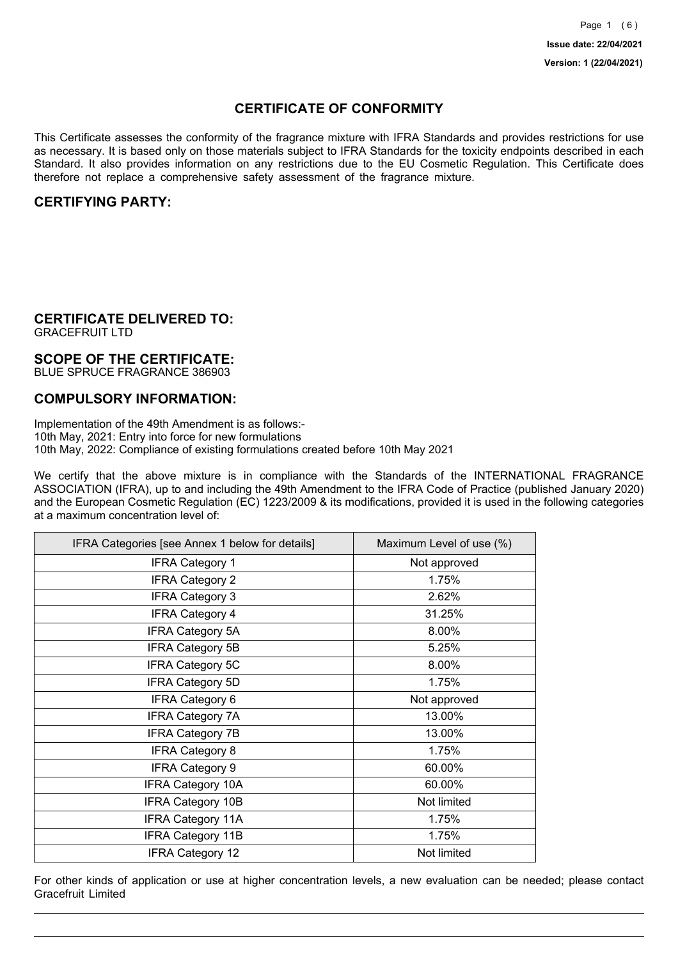## **CERTIFICATE OF CONFORMITY**

This Certificate assesses the conformity of the fragrance mixture with IFRA Standards and provides restrictions for use as necessary. It is based only on those materials subject to IFRA Standards for the toxicity endpoints described in each Standard. It also provides information on any restrictions due to the EU Cosmetic Regulation. This Certificate does therefore not replace a comprehensive safety assessment of the fragrance mixture.

## **CERTIFYING PARTY:**

## **CERTIFICATE DELIVERED TO:**

GRACEFRUIT LTD

### **SCOPE OF THE CERTIFICATE:**

BLUE SPRUCE FRAGRANCE 386903

### **COMPULSORY INFORMATION:**

Implementation of the 49th Amendment is as follows:- 10th May, 2021: Entry into force for new formulations 10th May, 2022: Compliance of existing formulations created before 10th May 2021

We certify that the above mixture is in compliance with the Standards of the INTERNATIONAL FRAGRANCE ASSOCIATION (IFRA), up to and including the 49th Amendment to the IFRA Code of Practice (published January 2020) and the European Cosmetic Regulation (EC) 1223/2009 & its modifications, provided it is used in the following categories at a maximum concentration level of:

| IFRA Categories [see Annex 1 below for details] | Maximum Level of use (%) |
|-------------------------------------------------|--------------------------|
| <b>IFRA Category 1</b>                          | Not approved             |
| <b>IFRA Category 2</b>                          | 1.75%                    |
| <b>IFRA Category 3</b>                          | 2.62%                    |
| <b>IFRA Category 4</b>                          | 31.25%                   |
| <b>IFRA Category 5A</b>                         | 8.00%                    |
| <b>IFRA Category 5B</b>                         | 5.25%                    |
| <b>IFRA Category 5C</b>                         | 8.00%                    |
| <b>IFRA Category 5D</b>                         | 1.75%                    |
| <b>IFRA Category 6</b>                          | Not approved             |
| <b>IFRA Category 7A</b>                         | 13.00%                   |
| <b>IFRA Category 7B</b>                         | 13.00%                   |
| <b>IFRA Category 8</b>                          | 1.75%                    |
| <b>IFRA Category 9</b>                          | 60.00%                   |
| <b>IFRA Category 10A</b>                        | 60.00%                   |
| <b>IFRA Category 10B</b>                        | Not limited              |
| <b>IFRA Category 11A</b>                        | 1.75%                    |
| <b>IFRA Category 11B</b>                        | 1.75%                    |
| <b>IFRA Category 12</b>                         | Not limited              |

For other kinds of application or use at higher concentration levels, a new evaluation can be needed; please contact Gracefruit Limited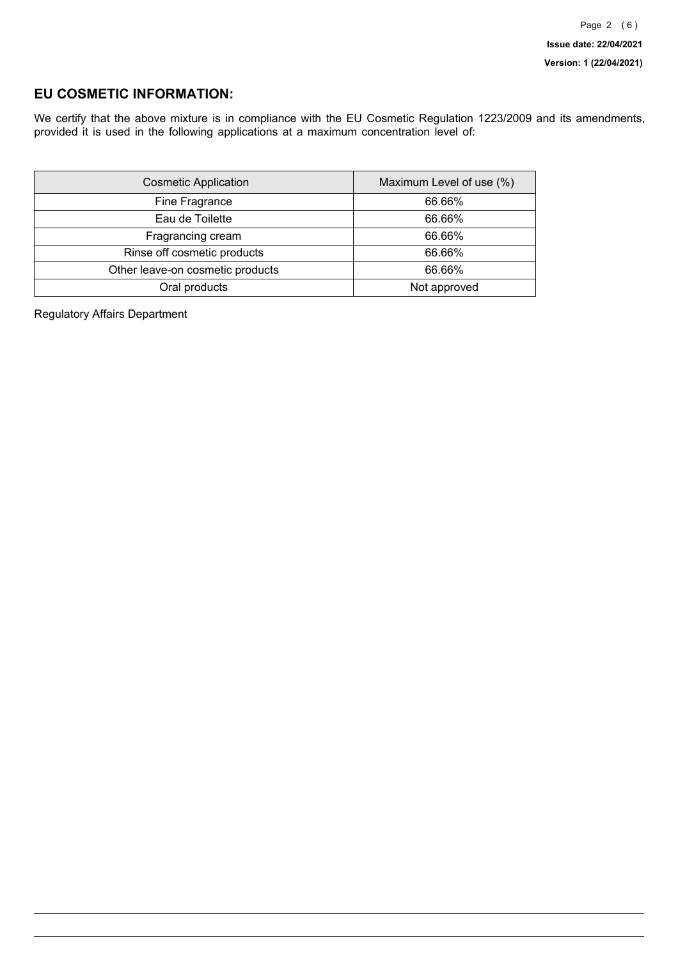## **EU COSMETIC INFORMATION:**

We certify that the above mixture is in compliance with the EU Cosmetic Regulation 1223/2009 and its amendments, provided it is used in the following applications at a maximum concentration level of:

| <b>Cosmetic Application</b>      | Maximum Level of use (%) |
|----------------------------------|--------------------------|
| Fine Fragrance                   | 66.66%                   |
| Eau de Toilette                  | 66.66%                   |
| Fragrancing cream                | 66.66%                   |
| Rinse off cosmetic products      | 66.66%                   |
| Other leave-on cosmetic products | 66.66%                   |
| Oral products                    | Not approved             |

Regulatory Affairs Department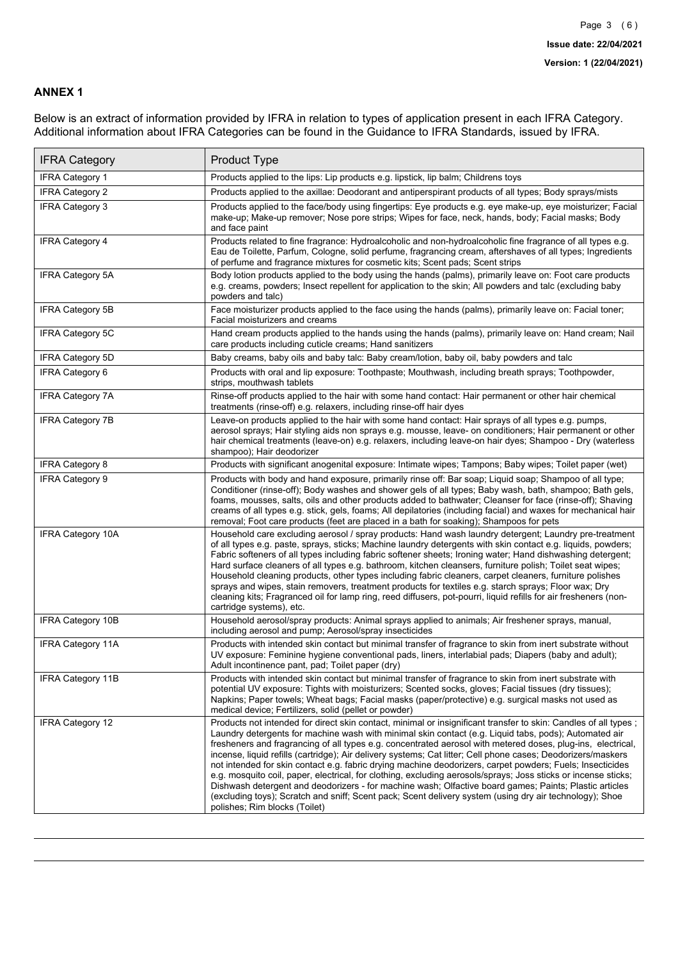### **ANNEX 1**

Below is an extract of information provided by IFRA in relation to types of application present in each IFRA Category. Additional information about IFRA Categories can be found in the Guidance to IFRA Standards, issued by IFRA.

| <b>IFRA Category</b>     | Product Type                                                                                                                                                                                                                                                                                                                                                                                                                                                                                                                                                                                                                                                                                                                                                                                                                                                                                                                                 |
|--------------------------|----------------------------------------------------------------------------------------------------------------------------------------------------------------------------------------------------------------------------------------------------------------------------------------------------------------------------------------------------------------------------------------------------------------------------------------------------------------------------------------------------------------------------------------------------------------------------------------------------------------------------------------------------------------------------------------------------------------------------------------------------------------------------------------------------------------------------------------------------------------------------------------------------------------------------------------------|
| IFRA Category 1          | Products applied to the lips: Lip products e.g. lipstick, lip balm; Childrens toys                                                                                                                                                                                                                                                                                                                                                                                                                                                                                                                                                                                                                                                                                                                                                                                                                                                           |
| <b>IFRA Category 2</b>   | Products applied to the axillae: Deodorant and antiperspirant products of all types; Body sprays/mists                                                                                                                                                                                                                                                                                                                                                                                                                                                                                                                                                                                                                                                                                                                                                                                                                                       |
| <b>IFRA Category 3</b>   | Products applied to the face/body using fingertips: Eye products e.g. eye make-up, eye moisturizer; Facial<br>make-up; Make-up remover; Nose pore strips; Wipes for face, neck, hands, body; Facial masks; Body<br>and face paint                                                                                                                                                                                                                                                                                                                                                                                                                                                                                                                                                                                                                                                                                                            |
| IFRA Category 4          | Products related to fine fragrance: Hydroalcoholic and non-hydroalcoholic fine fragrance of all types e.g.<br>Eau de Toilette, Parfum, Cologne, solid perfume, fragrancing cream, aftershaves of all types; Ingredients<br>of perfume and fragrance mixtures for cosmetic kits; Scent pads; Scent strips                                                                                                                                                                                                                                                                                                                                                                                                                                                                                                                                                                                                                                     |
| <b>IFRA Category 5A</b>  | Body lotion products applied to the body using the hands (palms), primarily leave on: Foot care products<br>e.g. creams, powders; Insect repellent for application to the skin; All powders and talc (excluding baby<br>powders and talc)                                                                                                                                                                                                                                                                                                                                                                                                                                                                                                                                                                                                                                                                                                    |
| <b>IFRA Category 5B</b>  | Face moisturizer products applied to the face using the hands (palms), primarily leave on: Facial toner;<br>Facial moisturizers and creams                                                                                                                                                                                                                                                                                                                                                                                                                                                                                                                                                                                                                                                                                                                                                                                                   |
| IFRA Category 5C         | Hand cream products applied to the hands using the hands (palms), primarily leave on: Hand cream; Nail<br>care products including cuticle creams; Hand sanitizers                                                                                                                                                                                                                                                                                                                                                                                                                                                                                                                                                                                                                                                                                                                                                                            |
| IFRA Category 5D         | Baby creams, baby oils and baby talc: Baby cream/lotion, baby oil, baby powders and talc                                                                                                                                                                                                                                                                                                                                                                                                                                                                                                                                                                                                                                                                                                                                                                                                                                                     |
| IFRA Category 6          | Products with oral and lip exposure: Toothpaste; Mouthwash, including breath sprays; Toothpowder,<br>strips, mouthwash tablets                                                                                                                                                                                                                                                                                                                                                                                                                                                                                                                                                                                                                                                                                                                                                                                                               |
| <b>IFRA Category 7A</b>  | Rinse-off products applied to the hair with some hand contact: Hair permanent or other hair chemical<br>treatments (rinse-off) e.g. relaxers, including rinse-off hair dyes                                                                                                                                                                                                                                                                                                                                                                                                                                                                                                                                                                                                                                                                                                                                                                  |
| <b>IFRA Category 7B</b>  | Leave-on products applied to the hair with some hand contact: Hair sprays of all types e.g. pumps,<br>aerosol sprays; Hair styling aids non sprays e.g. mousse, leave- on conditioners; Hair permanent or other<br>hair chemical treatments (leave-on) e.g. relaxers, including leave-on hair dyes; Shampoo - Dry (waterless<br>shampoo); Hair deodorizer                                                                                                                                                                                                                                                                                                                                                                                                                                                                                                                                                                                    |
| IFRA Category 8          | Products with significant anogenital exposure: Intimate wipes; Tampons; Baby wipes; Toilet paper (wet)                                                                                                                                                                                                                                                                                                                                                                                                                                                                                                                                                                                                                                                                                                                                                                                                                                       |
| <b>IFRA Category 9</b>   | Products with body and hand exposure, primarily rinse off: Bar soap; Liquid soap; Shampoo of all type;<br>Conditioner (rinse-off); Body washes and shower gels of all types; Baby wash, bath, shampoo; Bath gels,<br>foams, mousses, salts, oils and other products added to bathwater; Cleanser for face (rinse-off); Shaving<br>creams of all types e.g. stick, gels, foams; All depilatories (including facial) and waxes for mechanical hair<br>removal; Foot care products (feet are placed in a bath for soaking); Shampoos for pets                                                                                                                                                                                                                                                                                                                                                                                                   |
| <b>IFRA Category 10A</b> | Household care excluding aerosol / spray products: Hand wash laundry detergent; Laundry pre-treatment<br>of all types e.g. paste, sprays, sticks; Machine laundry detergents with skin contact e.g. liquids, powders;<br>Fabric softeners of all types including fabric softener sheets; Ironing water; Hand dishwashing detergent;<br>Hard surface cleaners of all types e.g. bathroom, kitchen cleansers, furniture polish; Toilet seat wipes;<br>Household cleaning products, other types including fabric cleaners, carpet cleaners, furniture polishes<br>sprays and wipes, stain removers, treatment products for textiles e.g. starch sprays; Floor wax; Dry<br>cleaning kits; Fragranced oil for lamp ring, reed diffusers, pot-pourri, liquid refills for air fresheners (non-<br>cartridge systems), etc.                                                                                                                          |
| <b>IFRA Category 10B</b> | Household aerosol/spray products: Animal sprays applied to animals; Air freshener sprays, manual,<br>including aerosol and pump; Aerosol/spray insecticides                                                                                                                                                                                                                                                                                                                                                                                                                                                                                                                                                                                                                                                                                                                                                                                  |
| <b>IFRA Category 11A</b> | Products with intended skin contact but minimal transfer of fragrance to skin from inert substrate without<br>UV exposure: Feminine hygiene conventional pads, liners, interlabial pads; Diapers (baby and adult);<br>Adult incontinence pant, pad; Toilet paper (dry)                                                                                                                                                                                                                                                                                                                                                                                                                                                                                                                                                                                                                                                                       |
| <b>IFRA Category 11B</b> | Products with intended skin contact but minimal transfer of fragrance to skin from inert substrate with<br>potential UV exposure: Tights with moisturizers; Scented socks, gloves; Facial tissues (dry tissues);<br>Napkins; Paper towels; Wheat bags; Facial masks (paper/protective) e.g. surgical masks not used as<br>medical device; Fertilizers, solid (pellet or powder)                                                                                                                                                                                                                                                                                                                                                                                                                                                                                                                                                              |
| IFRA Category 12         | Products not intended for direct skin contact, minimal or insignificant transfer to skin: Candles of all types;<br>Laundry detergents for machine wash with minimal skin contact (e.g. Liquid tabs, pods); Automated air<br>fresheners and fragrancing of all types e.g. concentrated aerosol with metered doses, plug-ins, electrical,<br>incense, liquid refills (cartridge); Air delivery systems; Cat litter; Cell phone cases; Deodorizers/maskers<br>not intended for skin contact e.g. fabric drying machine deodorizers, carpet powders; Fuels; Insecticides<br>e.g. mosquito coil, paper, electrical, for clothing, excluding aerosols/sprays; Joss sticks or incense sticks;<br>Dishwash detergent and deodorizers - for machine wash; Olfactive board games; Paints; Plastic articles<br>(excluding toys); Scratch and sniff; Scent pack; Scent delivery system (using dry air technology); Shoe<br>polishes; Rim blocks (Toilet) |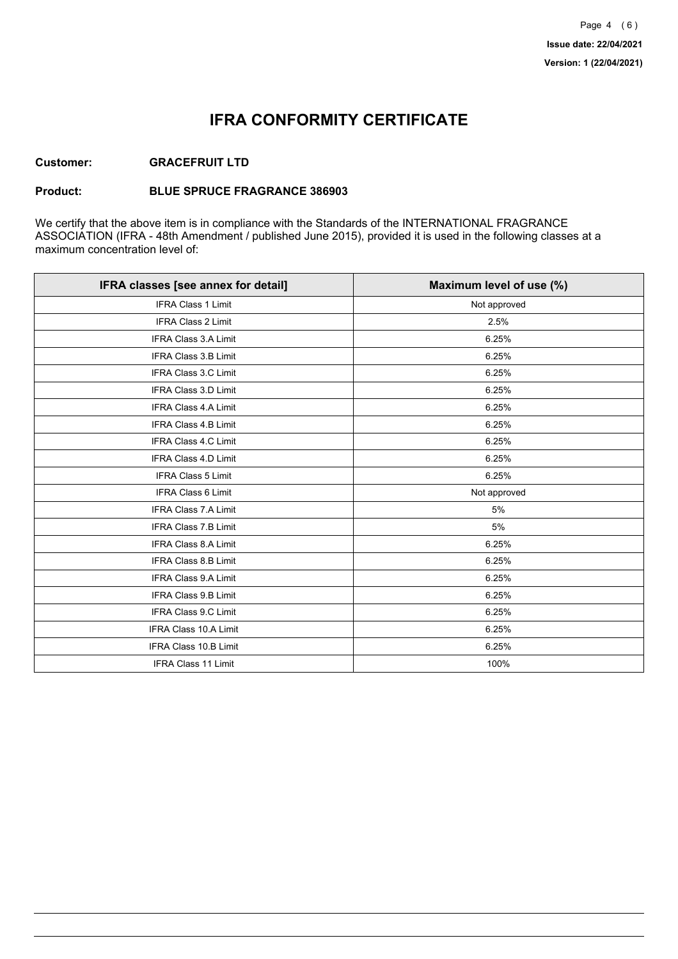## **IFRA CONFORMITY CERTIFICATE**

### **Customer: GRACEFRUIT LTD**

#### **Product: BLUE SPRUCE FRAGRANCE 386903**

We certify that the above item is in compliance with the Standards of the INTERNATIONAL FRAGRANCE ASSOCIATION (IFRA - 48th Amendment / published June 2015), provided it is used in the following classes at a maximum concentration level of:

| IFRA classes [see annex for detail] | Maximum level of use (%) |
|-------------------------------------|--------------------------|
| <b>IFRA Class 1 Limit</b>           | Not approved             |
| <b>IFRA Class 2 Limit</b>           | 2.5%                     |
| <b>IFRA Class 3.A Limit</b>         | 6.25%                    |
| IFRA Class 3.B Limit                | 6.25%                    |
| IFRA Class 3.C Limit                | 6.25%                    |
| IFRA Class 3.D Limit                | 6.25%                    |
| <b>IFRA Class 4.A Limit</b>         | 6.25%                    |
| <b>IFRA Class 4.B Limit</b>         | 6.25%                    |
| IFRA Class 4.C Limit                | 6.25%                    |
| <b>IFRA Class 4.D Limit</b>         | 6.25%                    |
| <b>IFRA Class 5 Limit</b>           | 6.25%                    |
| <b>IFRA Class 6 Limit</b>           | Not approved             |
| <b>IFRA Class 7.A Limit</b>         | 5%                       |
| IFRA Class 7.B Limit                | 5%                       |
| IFRA Class 8.A Limit                | 6.25%                    |
| IFRA Class 8.B Limit                | 6.25%                    |
| <b>IFRA Class 9.A Limit</b>         | 6.25%                    |
| <b>IFRA Class 9.B Limit</b>         | 6.25%                    |
| IFRA Class 9.C Limit                | 6.25%                    |
| IFRA Class 10.A Limit               | 6.25%                    |
| IFRA Class 10.B Limit               | 6.25%                    |
| <b>IFRA Class 11 Limit</b>          | 100%                     |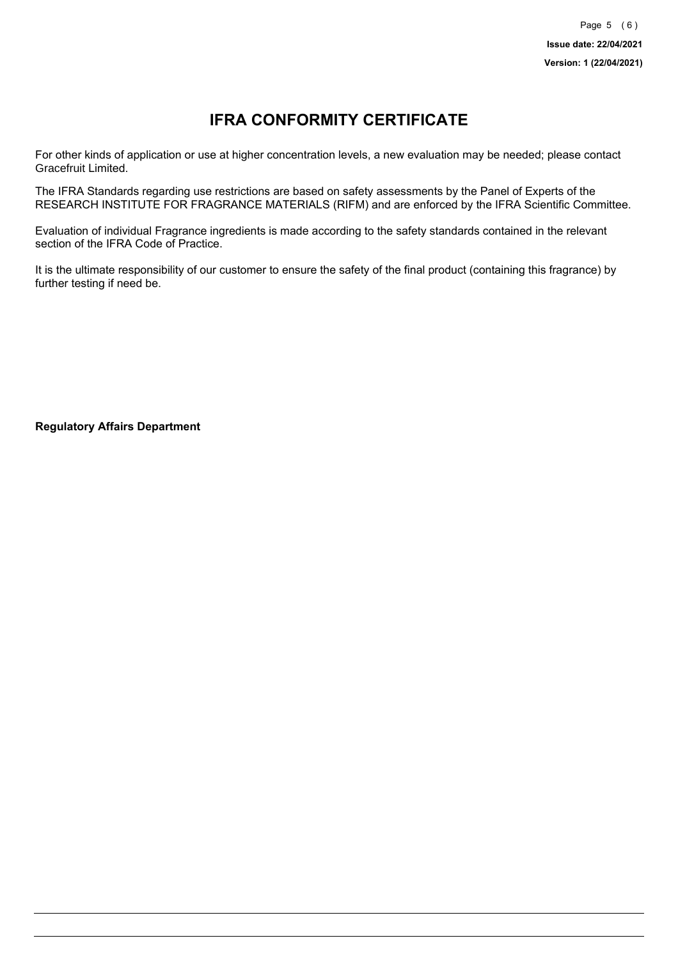# **IFRA CONFORMITY CERTIFICATE**

For other kinds of application or use at higher concentration levels, a new evaluation may be needed; please contact Gracefruit Limited.

The IFRA Standards regarding use restrictions are based on safety assessments by the Panel of Experts of the RESEARCH INSTITUTE FOR FRAGRANCE MATERIALS (RIFM) and are enforced by the IFRA Scientific Committee.

Evaluation of individual Fragrance ingredients is made according to the safety standards contained in the relevant section of the IFRA Code of Practice.

It is the ultimate responsibility of our customer to ensure the safety of the final product (containing this fragrance) by further testing if need be.

**Regulatory Affairs Department**